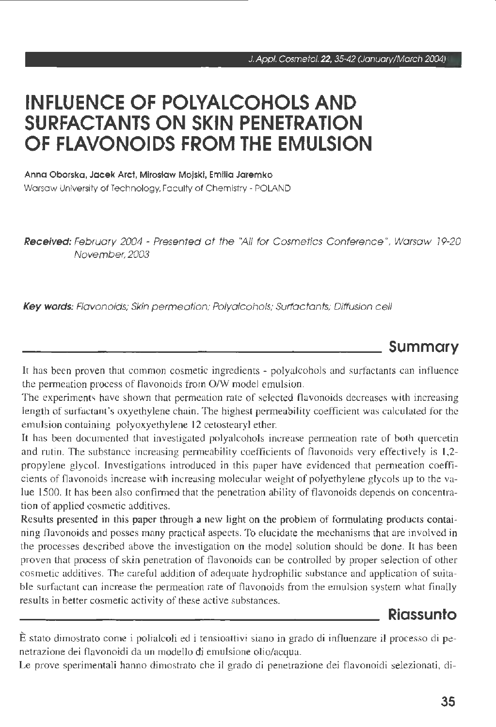# **INFLUENCE OF POLYALCOHOLS ANO SURFACTANTS ON SKIN PENETRATION OF FLAVONOIDS FROM THE EMULSION**

Anna Oborska, Jacek Arct, Miroslaw Mojski, Emilia Jaremko Warsaw University of Technology, Faculty of Chemistry - POLAND

Received: February 2004 - Presented at the "All for Cosmetics Conference", Warsaw 19-20 November, 2003

Key words: Flavonoids; Skin permeation; Polyalcohols; Surfactants; Diffusion cell

### **Summary**

It has been proven that common cosmetic ingredients - polyalcohols and sutfactants can influence the permeation process of flavonoids from O/W model emulsion.

The experiments have shown that permeation rate of selected flavonoids decreases with increasing length of surfactant's oxyethylene chain. The highest permeability coefficient was calculated for the emulsion containing polyoxyethylene 12 cetostearyl ether.

It has been documented that investigated polyalcohols increase permeation rate of both quercetin and rutin. The substance increasing permeability coefficients of flavonoids very effectively is 1.2 propylene glycol. Investigations introduced in this paper have evidenced that permeation coefficients of flavonoids increase with increasing molecular weight of polyethylene glycols up to the value 1500. It has been also confirmed that the penetration ability of flavonoids depends on concentration of applied cosmetic additives.

Results presented in this paper through a new light on the problem of formulating products containing flavonoids and posses many practical aspects. To elucidate the mechanisms that are involved in the processes described above the investigation on the model solution should be done. It has been proven that process of skin penetration of flavonoids can be controlled by proper selection of other cosmetic additives. The careful addition of adequate hydrophilic substance and application of suitable surfactant can increase the permeation rate of flavonoids from the emulsion system what finally results in better cosmetic activity of these active substances.

### **Riassunto**

È stato dimostrato come i polialcoli ed i tensioattivi siano in grado di influenzare il processo di penetrazione dei flavonoidi da un modello di emulsione olio/acqua.

Le prove sperimentali hanno dimostrato che il grado di penetrazione dei flavonoidi selezionati, di-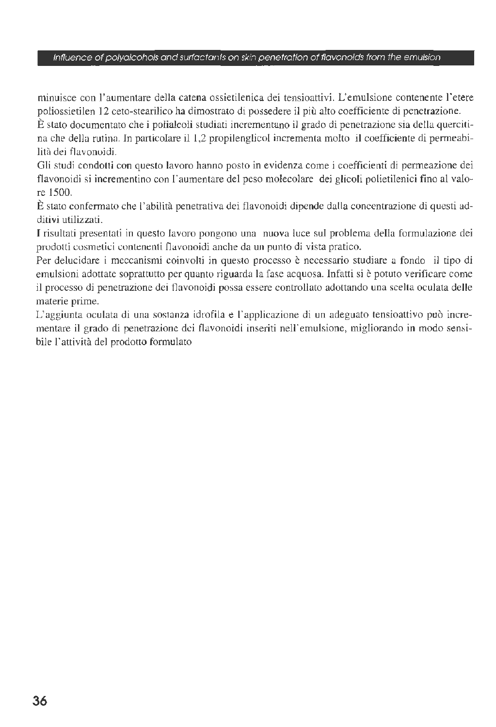#### lnfluence of po/yalcohols and surfactanls on skin penetration of flavonoids from the emulsion

minuisce con l'aumentare della catena ossietilenica dei tensioattivi. L'emulsione contenente l'etere poliossietilen I 2 ceto-stearilico ha dimostrato di possedere il più alto coefficiente di penetrazione.

È stato documentato che i polialcoli studiati incrementano il grado di penetrazione sia della quercitina che della rutina. In particolare il 1,2 propilenglicol incrementa molto il coefficiente di penneabilità dei flavonoidi.

Gli studi condotri con questo lavoro hanno posto in evidenza come i coefficienti di permeazione dei flavonoidi si incrementino con l'aumentare del peso molecolare dei glicoli polietilenici fino al valore 1500.

È stato confermato che l'abilità penetrativa dei flavonoidi dipende dalla concentrazione di questi additivi utilizzati.

I risultati presentati in questo lavoro pongono una nuova luce sul problema della formulazione dei prodotti cosmetici contenenti flavonoidi anche da un punto di vista pratico.

Per delucidare i meccanismi coinvolti in questo processo è necessario studiare a fondo il tipo di emulsioni adottate soprattutto per quanto riguarda la fase acquosa. Infatti si è potuto verificare come il processo di penetrazione dei flavonoidi possa essere controllato adottando una scelta oculata delle materie prime.

L'aggiunta oculata di una sostanza idrofila e l'applicazione dì un adeguato tensioattivo può incrementare il grado di penetrazione dei flavonoidi inseriti nell'emulsione, migliorando in modo sensibile l'attività del prodotto formulato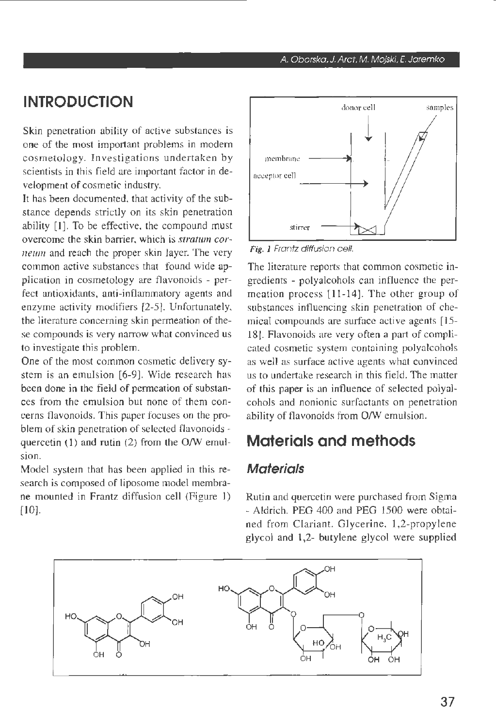## **INTRODUCTION**

Skin penetration ability of active substances is one of the most important problems in modern cosmetology. Investigations undertaken by scientists in this field are important factor in development of cosmetic industry.

It has been documented, that activity of the substance depends strictly on its skin penetration ability [l]. To be effective, the compound must overcome the skin barrier, which is *stratum cornewn* and reach the proper skin layer. The very common active substances that found wide application in cosmetology are tlavonoids - perfect antioxidants, anti-inflarnmatory agents and enzyme activity modifiers [2-5]. Unfortunately, the literature conceming skin permeation of these compounds is very narrow what convinced us to investigate this problem.

One of the most common cosmetic delivery system is an emulsion (6-9). Wide research has been done in the field of permeation of substances from the emulsion but none of them concerns flavonoids. This paper focuses on the problem of skin penetration of selected flavonoids quercetin (1) and rutin (2) from the O/W emulsion.

Model system that has been applied in this research is composed of liposome model membrane mounted in Frantz diffusion cell (Figure J) [ 10].



Fig. J Frantz diffusion celi.

The literature reports that common cosmetic ingredients - polyalcohols can influence the permeation process [11-14]. The other group of substances influencing skin penetration of chemical compounds are surface active agents [15-18]. Flavonoids are very often a part of complicated cosmetic system containing polyalcohols as well as surface active agents what convinced us to undertake research in this field. The matter of this paper is an influence of selected polyalcohols and nonionic surfactants on penetration ability of flavonoids from O/W emulsion.

### **Materials and methods**

#### **Materials**

Rutin and quercetin were purchased from Sigma - Aldrich. PEG 400 and PEG 1500 were obtained from Clariant. Glycerine, 1,2-propylene glycol and 1,2- butylene glycol were supplied

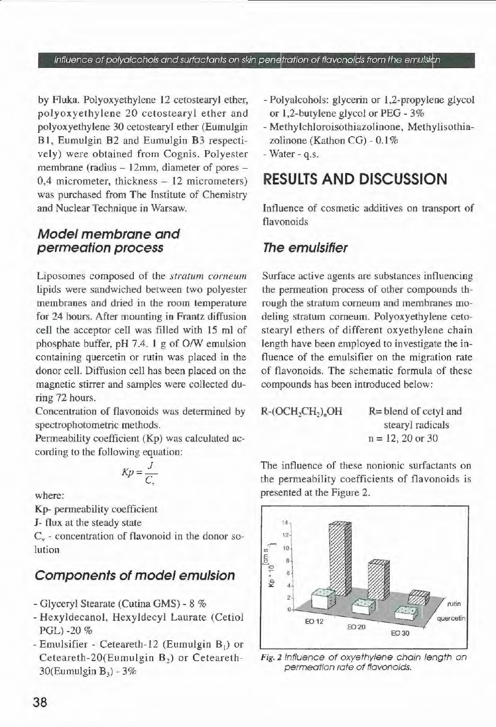lnfluence of polyalcohols and surfactants on skin penetration of flavonoids from the emulsion

by Fluka. Polyoxyethylene 12 cetostearyl ether, polyoxyethylene 20 cetostearyl ether and polyoxyethylene 30 cetostearyl ether (Eumulgin B 1, Eumulgin B2 and Eumulgin B3 respectively) were obtained from Cognis. Polyester membrane (radius - 12mm, diameter of pores - $0.4$  micrometer, thickness  $-12$  micrometers) was purchased from The Institute of Chemistry and Nuclear Technique in Warsaw.

#### **Model membrane and permeafion process**

Liposomes composed of the *stratum corneum*  lipids were sandwiched between two polyester membranes and dried in the room temperature for 24 hours. After mounting in Frantz diffusion celi the acceptor celi was filled with 15 ml of phosphate buffer, pH 7.4. I g of O/W emulsion containing quercetin or rutin was placed in the donor celi. Diffusion celi has been placed on the magnetic stirrer and samples were collected during 72 hours.

Concentration of flavonoids was determined by spectrophotometric methods.

Permeability coefficient (Kp) was calculated according to the following equation:

$$
Kp = \frac{J}{C_{1}}
$$

where:

Kp- permeability coefficient

*J*- flux at the steady state

 $C_v$  - concentration of flavonoid in the donor solution

### **Components of model emulsion**

- Glyceryl Stearate (Cutina GMS) 8 %
- Hexyldecanol, Hexyldecyl Laurate (Cetiol PGL)-20 %
- Emulsifier Ceteareth-12 (Eumulgin  $B_1$ ) or Ceteareth-20(Eumulgin  $B<sub>2</sub>$ ) or Ceteareth-30(Eumulgin  $B_3$ ) - 3%
- Polyalcohols: glycerin or 1,2-propylene glycol or 1,2-butylene glycol or PEG - 3%
- Methylchloroisothiazolinone, Methylisothiazolinone (Kathon CG) - 0.1 %
- Water q.s.

## **RESULTS ANO DISCUSSION**

Intluence of cosmetic additives on transport of flavonoids

#### **The emulsifier**

Surface active agents are substances influencing the permeation process of other compounds through the stratum corneum and membranes modeling stratum corneum. Polyoxyethylene cetostearyl ethers of different oxyethylene chain length have been employed to investigate the influence of the emulsifier on the migration rate of flavonoids. The schematic formula of these compounds has been introduced below:

 $R-(OCH,CH, )$ <sub>n</sub> $OH$ 

R= blend of cetyl and stearyl radicals  $n = 12, 20$  or 30

The intluence of these nonionic surfactants on the permeability coefficients of flavonoids is presented at the Figure 2.



Fig. 2 Influence of oxyethylene chain length on permeation rate of flavonoids.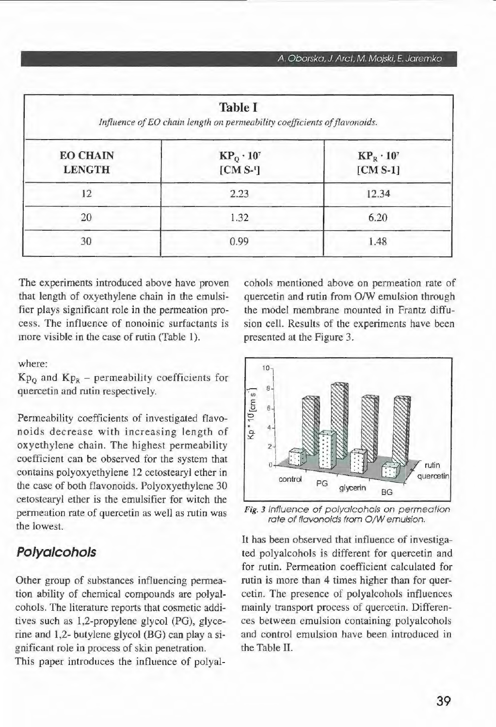| <b>Table I</b><br>Influence of EO chain length on permeability coefficients of flavonoids. |                                 |                                 |  |
|--------------------------------------------------------------------------------------------|---------------------------------|---------------------------------|--|
| <b>EO CHAIN</b><br><b>LENGTH</b>                                                           | $KP_0 \cdot 10^7$<br>$[CM S-1]$ | $KP_R \cdot 10^7$<br>$[CM S-1]$ |  |
| 12                                                                                         | 2.23                            | 12.34                           |  |
| 20                                                                                         | 1.32                            | 6.20                            |  |
| 30                                                                                         | 0.99                            | 1.48                            |  |

The experiments introduced above have proven that length of oxyethylene chain in the emulsifier plays significant role in the permeation process. The influence of nonoinic surfactants is more visible in the case of rutin (Table 1).

where:

 $Kp_0$  and  $Kp_R$  – permeability coefficients for quercetin and rutin respectively.

Permeability coefficients of investigated flavonoids decrease with increasing length of oxyethylene chain. The highest permeability coefficient can be observed for the system that contains polyoxyethylene 12 cetostearyl ether in the case of both flavonoids. Polyoxyethylene 30 cetostearyl ether is the emulsifier for witch the permeation rate of quercetin as well as rutin was the lowest.

### **Polyalcohols**

Other group of substances influencing permeation ability of chemical compounds are polyalcohols. The literature reports that cosmetic additives such as 1,2-propylene glycol (PG), glycerine and 1,2- butylene glycol (BG) can play a significant role in process of skin penetration. This paper introduces the influence of polyalcohols mentioned above on permeation rate of quercetin and rutin from O/W emulsion through the model membrane mounted in Frantz diffusion celi. Results of the experiments have been presented at the Figure 3.



Fig. 3 tnfluence of polyalcohols on permeation rate of flavonoids from O/W emulsion.

It has been observed that influence of investigated polyalcohols is different for quercetin and for rutin. Permeation coefficient calculated for rutin is more than 4 times higher than for quercetin. The presence of polyalcohols influences mainly transport process of quercetin. Differences between emulsion containing polyalcohols and contro! emulsion have been introduced in the Table II.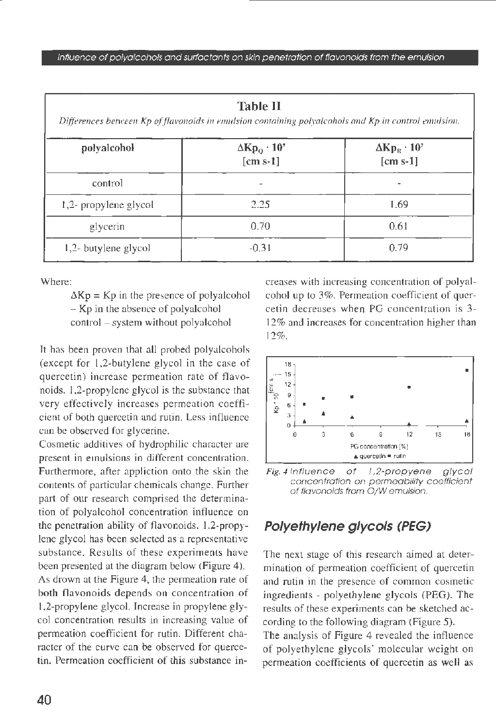| <b>Table II</b><br>Differences between Kp of flavonoids in emulsion containing polyalcohols and Kp in control emulsion. |                                                               |                                                       |
|-------------------------------------------------------------------------------------------------------------------------|---------------------------------------------------------------|-------------------------------------------------------|
| polyalcohol                                                                                                             | $\Delta$ Kp <sub>o</sub> · 10 <sup>7</sup><br>$\lceil$ cm s-1 | $\Delta K p_R \cdot 10^7$<br>$\lceil$ cm s-1 $\rceil$ |
| control                                                                                                                 |                                                               |                                                       |
| 1,2- propylene glycol                                                                                                   | 2.25                                                          | 1.69                                                  |
| glycerin                                                                                                                | 0.70                                                          | 0.61                                                  |
| 1,2- butylene glycol                                                                                                    | $-0.31$                                                       | 0.79                                                  |

Where:

 $\Delta$ Kp = Kp in the presence of polyalcohol - Kp in the absence of polyalcohol control - system without polyalcohol

lt has been proven that ali probed polyalcohols (except for l,2-butylene glycol in the case of quercetin) increase permeation rate of flavonoids. 1,2-propylene glycol is the substance that very effectively increases permeation coefficient of both quercetin and rutin. Less influence can be observed for glycerine.

Cosmetic additives of hydrophilic character are present in emulsions in different concentration. Furthermore, after appliction onto the skin the contents of particular chemicals change. Further part of our research comprised the determination of polyalcohol concentration intluence on the penetration ability of flavonoids. 1.2-propylene glycol has been selected as a representative substance. Results of these experiments have been presented at the diagram below (Figure 4). As drown at the Figure 4, the permeation rate of both flavonoids depends on concentration of 1,2-propylene glycol. Increase in propylene glycol concentration results in increasing value of permeation coefficient for rutin. Different character of the curve can be observed for quercetin. Permeation coefficient of this substance increases with increasing concentration of polyalcohol up to 3%. Permeation coefficient of quercetin decreases when PG concentration is 3- 12% and increases for concentration higher than 12%.



Fig. 4 Influence of 1,2-propyene glycol concentration on permeability coeffìcient ot flavonoids from *0/W* emulslon.

### **Polyethylene glycols (PEG)**

The next stage of this research aimed at determination of permeation coefficient of quercetin and rutin in the presence of common cosmetic ingredients - polyethylene glycols (PEG). The results of these experiments can be sketched according to the following diagram (Figure 5).

The analysis of Figure 4 revealed the influence of polyethylene glycols' molecular weight on permeation coefficients of quercetin as well as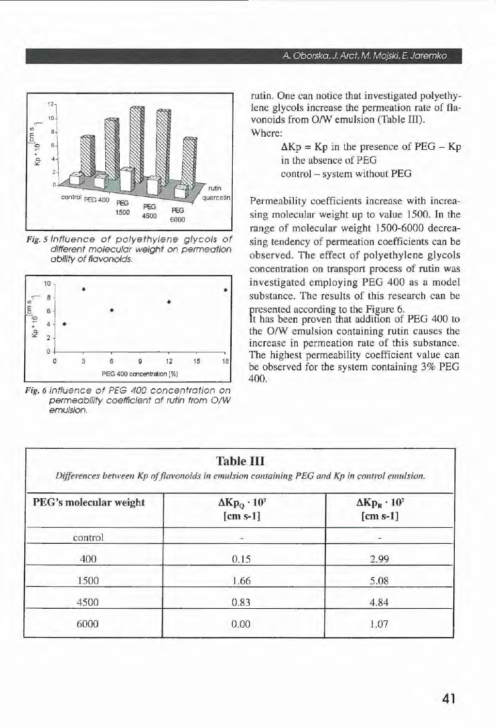

Fig. 5 lntluence of polyethy/ene g/ycols of different molecular weight on permeation ability of flavonoids.



Fig. 6 lnfluence ot PEG 400 concentrotion on permeobility coefficient of rutin from *0/W*  emulsion.

#### A Oborsko, J. Arct, M. Mojski, *E.* Joremko

rutin. One can notice that investigated polyethylene glycols increase the permeation rate of flavonoids from O/W emulsion (Table III). Where:

> $\Delta$ Kp = Kp in the presence of PEG – Kp in the absence of PEG contro! - system without PEG

Permeability coefficients increase with increasing molecular weight up to value 1500. In the range of molecular weight 1500-6000 decreasing tendency of permeation coefficients can be observed. The effect of polyethylene glycols concentration on transport process of rutin was investigated employing PEG 400 as a model substance. The results of this research can be presented according to the Figure 6.

It has been proven that addition of PEG 400 to the O/W emulsion containing rutin causes the increase in permeation rate of this substance. The highest permeability coefficient value can be observed for the system containing 3% PEG 400.

| <b>Table III</b><br>Differences between Kp of flavonoids in emulsion containing PEG and Kp in control emulsion. |                                         |                                         |  |
|-----------------------------------------------------------------------------------------------------------------|-----------------------------------------|-----------------------------------------|--|
| PEG's molecular weight                                                                                          | $\Delta K p_0 \cdot 10^7$<br>$[cm s-1]$ | $\Delta K p_R \cdot 10^7$<br>$[cm s-1]$ |  |
| control                                                                                                         | ÷                                       |                                         |  |
| 400                                                                                                             | 0.15                                    | 2.99                                    |  |
| 1500                                                                                                            | 1.66                                    | 5.08                                    |  |
| 4500                                                                                                            | 0.83                                    | 4.84                                    |  |
| 6000                                                                                                            | 0.00                                    | 1.07                                    |  |